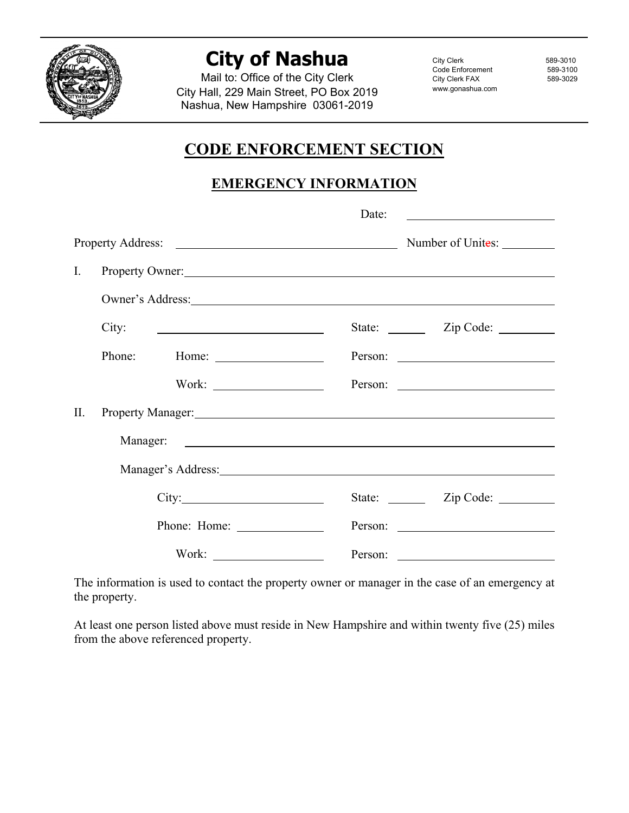

## **City of Nashua**

Mail to: Office of the City Clerk City Hall, 229 Main Street, PO Box 2019 Nashua, New Hampshire 03061-2019

City Clerk 589-3010 Code Enforcement 589-3100<br>City Clerk FAX 589-3029 City Clerk FAX www.gonashua.com

## **CODE ENFORCEMENT SECTION**

## **EMERGENCY INFORMATION**

|     |                                                                                                                                                                                                                                | Date:                                                                                                                                                                                                                                    |
|-----|--------------------------------------------------------------------------------------------------------------------------------------------------------------------------------------------------------------------------------|------------------------------------------------------------------------------------------------------------------------------------------------------------------------------------------------------------------------------------------|
|     |                                                                                                                                                                                                                                |                                                                                                                                                                                                                                          |
| I.  |                                                                                                                                                                                                                                | Property Owner:                                                                                                                                                                                                                          |
|     |                                                                                                                                                                                                                                | Owner's Address: New York Changes and Second Changes and Second Changes and Second Changes and Second Changes and Second Changes and Second Changes and Second Changes and Second Changes and Second Changes and Second Change           |
|     | City:<br><u> 1989 - Andrea State Barbara, amerikan personal di sebagai personal di sebagai personal di sebagai personal di</u>                                                                                                 | State: <u>Cip</u> Code: <u>Cip</u> Code: Cip Code: Cip Code: Cip Code: Cip Code: Cip Code: Cip Code: Cip Code: Cip Code: Cip Code: Cip Code: Cip Code: Cip Code: Cip Code: Cip Code: Cip Code: Cip Code: Cip Code: Cip Code: Cip Code: C |
|     |                                                                                                                                                                                                                                |                                                                                                                                                                                                                                          |
|     |                                                                                                                                                                                                                                |                                                                                                                                                                                                                                          |
| II. | Property Manager: New York Contract and the Contract of the Contract of the Contract of the Contract of the Contract of the Contract of the Contract of the Contract of the Contract of the Contract of the Contract of the Co |                                                                                                                                                                                                                                          |
|     |                                                                                                                                                                                                                                |                                                                                                                                                                                                                                          |
|     |                                                                                                                                                                                                                                | Manager's Address: National Accounts and Accounts and Accounts and Accounts and Accounts and Accounts and Accounts and Accounts and Accounts and Accounts and Accounts and Accounts and Accounts and Accounts and Accounts and           |
|     | City:                                                                                                                                                                                                                          | State: <u>Zip Code:</u>                                                                                                                                                                                                                  |
|     |                                                                                                                                                                                                                                |                                                                                                                                                                                                                                          |
|     | Work: $\qquad \qquad$                                                                                                                                                                                                          | Person:                                                                                                                                                                                                                                  |

The information is used to contact the property owner or manager in the case of an emergency at the property.

At least one person listed above must reside in New Hampshire and within twenty five (25) miles from the above referenced property.